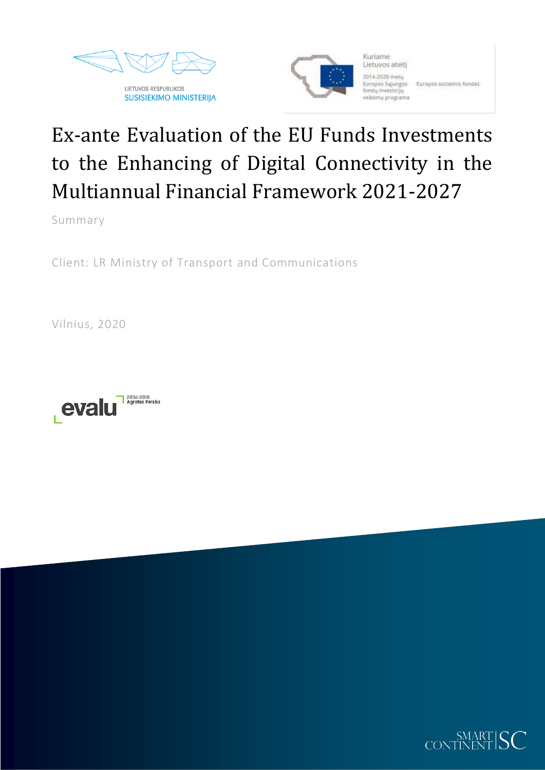



Kuriame Lietuvos ateitį 2014-2020 mety Europos Sąjungos Europos socialinis fondas fondu investiciju veiksmų programa

# Ex-ante Evaluation of the EU Funds Investments to the Enhancing of Digital Connectivity in the Multiannual Financial Framework 2021-2027

Summary

Client: LR Ministry of Transport and Communications

Vilnius, 2020



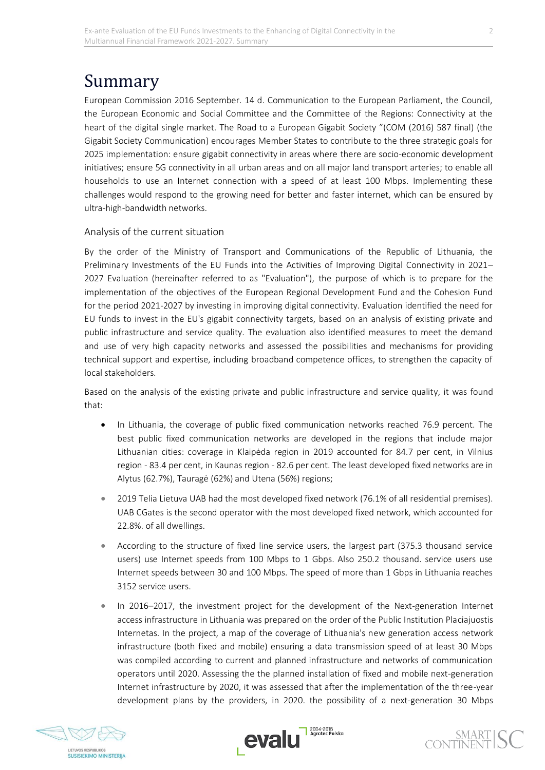# Summary

European Commission 2016 September. 14 d. Communication to the European Parliament, the Council, the European Economic and Social Committee and the Committee of the Regions: Connectivity at the heart of the digital single market. The Road to a European Gigabit Society "(COM (2016) 587 final) (the Gigabit Society Communication) encourages Member States to contribute to the three strategic goals for 2025 implementation: ensure gigabit connectivity in areas where there are socio-economic development initiatives; ensure 5G connectivity in all urban areas and on all major land transport arteries; to enable all households to use an Internet connection with a speed of at least 100 Mbps. Implementing these challenges would respond to the growing need for better and faster internet, which can be ensured by ultra-high-bandwidth networks.

### Analysis of the current situation

By the order of the Ministry of Transport and Communications of the Republic of Lithuania, the Preliminary Investments of the EU Funds into the Activities of Improving Digital Connectivity in 2021– 2027 Evaluation (hereinafter referred to as "Evaluation"), the purpose of which is to prepare for the implementation of the objectives of the European Regional Development Fund and the Cohesion Fund for the period 2021-2027 by investing in improving digital connectivity. Evaluation identified the need for EU funds to invest in the EU's gigabit connectivity targets, based on an analysis of existing private and public infrastructure and service quality. The evaluation also identified measures to meet the demand and use of very high capacity networks and assessed the possibilities and mechanisms for providing technical support and expertise, including broadband competence offices, to strengthen the capacity of local stakeholders.

Based on the analysis of the existing private and public infrastructure and service quality, it was found that:

- In Lithuania, the coverage of public fixed communication networks reached 76.9 percent. The best public fixed communication networks are developed in the regions that include major Lithuanian cities: coverage in Klaipėda region in 2019 accounted for 84.7 per cent, in Vilnius region - 83.4 per cent, in Kaunas region - 82.6 per cent. The least developed fixed networks are in Alytus (62.7%), Tauragė (62%) and Utena (56%) regions;
- 2019 Telia Lietuva UAB had the most developed fixed network (76.1% of all residential premises). UAB CGates is the second operator with the most developed fixed network, which accounted for 22.8%. of all dwellings.
- According to the structure of fixed line service users, the largest part (375.3 thousand service users) use Internet speeds from 100 Mbps to 1 Gbps. Also 250.2 thousand. service users use Internet speeds between 30 and 100 Mbps. The speed of more than 1 Gbps in Lithuania reaches 3152 service users.
- In 2016–2017, the investment project for the development of the Next-generation Internet access infrastructure in Lithuania was prepared on the order of the Public Institution Placiajuostis Internetas. In the project, a map of the coverage of Lithuania's new generation access network infrastructure (both fixed and mobile) ensuring a data transmission speed of at least 30 Mbps was compiled according to current and planned infrastructure and networks of communication operators until 2020. Assessing the the planned installation of fixed and mobile next-generation Internet infrastructure by 2020, it was assessed that after the implementation of the three-year development plans by the providers, in 2020. the possibility of a next-generation 30 Mbps





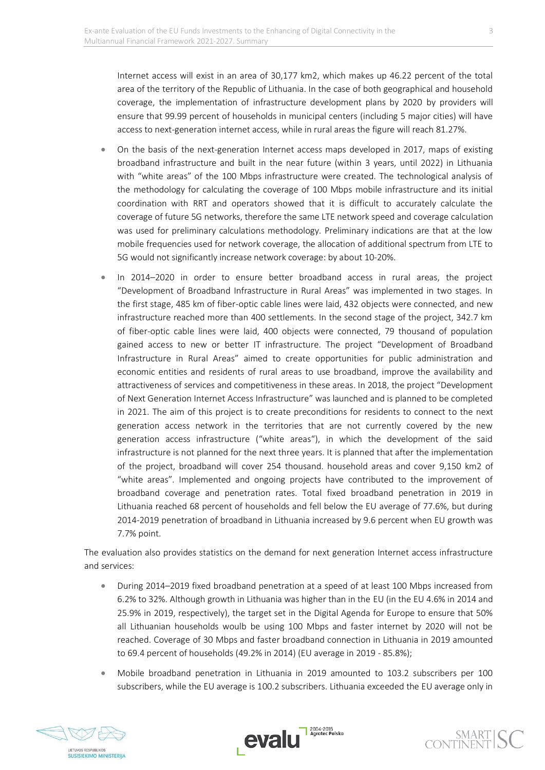Internet access will exist in an area of 30,177 km2, which makes up 46.22 percent of the total area of the territory of the Republic of Lithuania. In the case of both geographical and household coverage, the implementation of infrastructure development plans by 2020 by providers will ensure that 99.99 percent of households in municipal centers (including 5 major cities) will have access to next-generation internet access, while in rural areas the figure will reach 81.27%.

- On the basis of the next-generation Internet access maps developed in 2017, maps of existing broadband infrastructure and built in the near future (within 3 years, until 2022) in Lithuania with "white areas" of the 100 Mbps infrastructure were created. The technological analysis of the methodology for calculating the coverage of 100 Mbps mobile infrastructure and its initial coordination with RRT and operators showed that it is difficult to accurately calculate the coverage of future 5G networks, therefore the same LTE network speed and coverage calculation was used for preliminary calculations methodology. Preliminary indications are that at the low mobile frequencies used for network coverage, the allocation of additional spectrum from LTE to 5G would not significantly increase network coverage: by about 10-20%.
- In 2014–2020 in order to ensure better broadband access in rural areas, the project "Development of Broadband Infrastructure in Rural Areas" was implemented in two stages. In the first stage, 485 km of fiber-optic cable lines were laid, 432 objects were connected, and new infrastructure reached more than 400 settlements. In the second stage of the project, 342.7 km of fiber-optic cable lines were laid, 400 objects were connected, 79 thousand of population gained access to new or better IT infrastructure. The project "Development of Broadband Infrastructure in Rural Areas" aimed to create opportunities for public administration and economic entities and residents of rural areas to use broadband, improve the availability and attractiveness of services and competitiveness in these areas. In 2018, the project "Development of Next Generation Internet Access Infrastructure" was launched and is planned to be completed in 2021. The aim of this project is to create preconditions for residents to connect to the next generation access network in the territories that are not currently covered by the new generation access infrastructure ("white areas"), in which the development of the said infrastructure is not planned for the next three years. It is planned that after the implementation of the project, broadband will cover 254 thousand. household areas and cover 9,150 km2 of "white areas". Implemented and ongoing projects have contributed to the improvement of broadband coverage and penetration rates. Total fixed broadband penetration in 2019 in Lithuania reached 68 percent of households and fell below the EU average of 77.6%, but during 2014-2019 penetration of broadband in Lithuania increased by 9.6 percent when EU growth was 7.7% point.

The evaluation also provides statistics on the demand for next generation Internet access infrastructure and services:

- During 2014–2019 fixed broadband penetration at a speed of at least 100 Mbps increased from 6.2% to 32%. Although growth in Lithuania was higher than in the EU (in the EU 4.6% in 2014 and 25.9% in 2019, respectively), the target set in the Digital Agenda for Europe to ensure that 50% all Lithuanian households woulb be using 100 Mbps and faster internet by 2020 will not be reached. Coverage of 30 Mbps and faster broadband connection in Lithuania in 2019 amounted to 69.4 percent of households (49.2% in 2014) (EU average in 2019 - 85.8%);
- Mobile broadband penetration in Lithuania in 2019 amounted to 103.2 subscribers per 100 subscribers, while the EU average is 100.2 subscribers. Lithuania exceeded the EU average only in





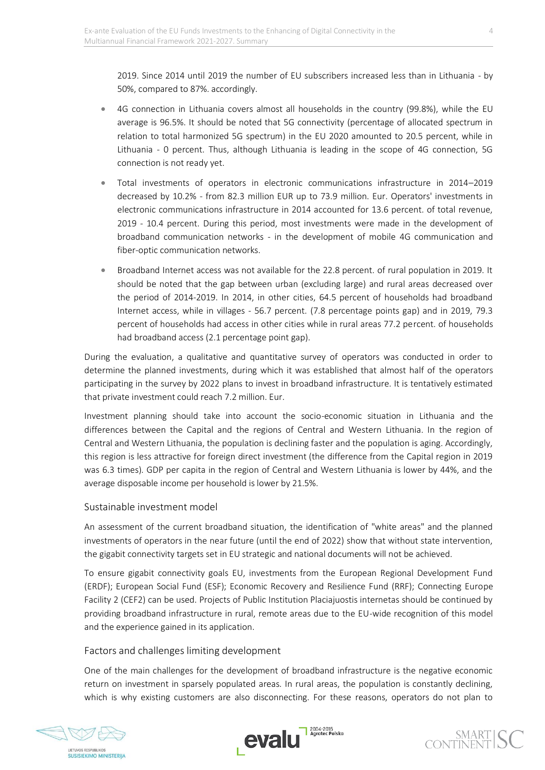2019. Since 2014 until 2019 the number of EU subscribers increased less than in Lithuania - by 50%, compared to 87%. accordingly.

- 4G connection in Lithuania covers almost all households in the country (99.8%), while the EU average is 96.5%. It should be noted that 5G connectivity (percentage of allocated spectrum in relation to total harmonized 5G spectrum) in the EU 2020 amounted to 20.5 percent, while in Lithuania - 0 percent. Thus, although Lithuania is leading in the scope of 4G connection, 5G connection is not ready yet.
- Total investments of operators in electronic communications infrastructure in 2014–2019 decreased by 10.2% - from 82.3 million EUR up to 73.9 million. Eur. Operators' investments in electronic communications infrastructure in 2014 accounted for 13.6 percent. of total revenue, 2019 - 10.4 percent. During this period, most investments were made in the development of broadband communication networks - in the development of mobile 4G communication and fiber-optic communication networks.
- Broadband Internet access was not available for the 22.8 percent. of rural population in 2019. It should be noted that the gap between urban (excluding large) and rural areas decreased over the period of 2014-2019. In 2014, in other cities, 64.5 percent of households had broadband Internet access, while in villages - 56.7 percent. (7.8 percentage points gap) and in 2019, 79.3 percent of households had access in other cities while in rural areas 77.2 percent. of households had broadband access (2.1 percentage point gap).

During the evaluation, a qualitative and quantitative survey of operators was conducted in order to determine the planned investments, during which it was established that almost half of the operators participating in the survey by 2022 plans to invest in broadband infrastructure. It is tentatively estimated that private investment could reach 7.2 million. Eur.

Investment planning should take into account the socio-economic situation in Lithuania and the differences between the Capital and the regions of Central and Western Lithuania. In the region of Central and Western Lithuania, the population is declining faster and the population is aging. Accordingly, this region is less attractive for foreign direct investment (the difference from the Capital region in 2019 was 6.3 times). GDP per capita in the region of Central and Western Lithuania is lower by 44%, and the average disposable income per household is lower by 21.5%.

# Sustainable investment model

An assessment of the current broadband situation, the identification of "white areas" and the planned investments of operators in the near future (until the end of 2022) show that without state intervention, the gigabit connectivity targets set in EU strategic and national documents will not be achieved.

To ensure gigabit connectivity goals EU, investments from the European Regional Development Fund (ERDF); European Social Fund (ESF); Economic Recovery and Resilience Fund (RRF); Connecting Europe Facility 2 (CEF2) can be used. Projects of Public Institution Placiajuostis internetas should be continued by providing broadband infrastructure in rural, remote areas due to the EU-wide recognition of this model and the experience gained in its application.

# Factors and challenges limiting development

One of the main challenges for the development of broadband infrastructure is the negative economic return on investment in sparsely populated areas. In rural areas, the population is constantly declining, which is why existing customers are also disconnecting. For these reasons, operators do not plan to



**SUSISIEKIMO MINISTERIJA** 

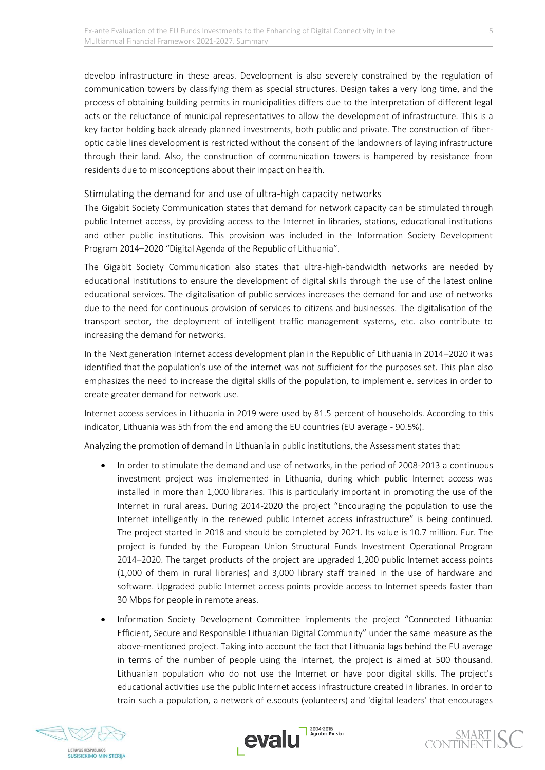develop infrastructure in these areas. Development is also severely constrained by the regulation of communication towers by classifying them as special structures. Design takes a very long time, and the process of obtaining building permits in municipalities differs due to the interpretation of different legal acts or the reluctance of municipal representatives to allow the development of infrastructure. This is a key factor holding back already planned investments, both public and private. The construction of fiberoptic cable lines development is restricted without the consent of the landowners of laying infrastructure through their land. Also, the construction of communication towers is hampered by resistance from residents due to misconceptions about their impact on health.

#### Stimulating the demand for and use of ultra-high capacity networks

The Gigabit Society Communication states that demand for network capacity can be stimulated through public Internet access, by providing access to the Internet in libraries, stations, educational institutions and other public institutions. This provision was included in the Information Society Development Program 2014–2020 "Digital Agenda of the Republic of Lithuania".

The Gigabit Society Communication also states that ultra-high-bandwidth networks are needed by educational institutions to ensure the development of digital skills through the use of the latest online educational services. The digitalisation of public services increases the demand for and use of networks due to the need for continuous provision of services to citizens and businesses. The digitalisation of the transport sector, the deployment of intelligent traffic management systems, etc. also contribute to increasing the demand for networks.

In the Next generation Internet access development plan in the Republic of Lithuania in 2014–2020 it was identified that the population's use of the internet was not sufficient for the purposes set. This plan also emphasizes the need to increase the digital skills of the population, to implement e. services in order to create greater demand for network use.

Internet access services in Lithuania in 2019 were used by 81.5 percent of households. According to this indicator, Lithuania was 5th from the end among the EU countries (EU average - 90.5%).

Analyzing the promotion of demand in Lithuania in public institutions, the Assessment states that:

- In order to stimulate the demand and use of networks, in the period of 2008-2013 a continuous investment project was implemented in Lithuania, during which public Internet access was installed in more than 1,000 libraries. This is particularly important in promoting the use of the Internet in rural areas. During 2014-2020 the project "Encouraging the population to use the Internet intelligently in the renewed public Internet access infrastructure" is being continued. The project started in 2018 and should be completed by 2021. Its value is 10.7 million. Eur. The project is funded by the European Union Structural Funds Investment Operational Program 2014–2020. The target products of the project are upgraded 1,200 public Internet access points (1,000 of them in rural libraries) and 3,000 library staff trained in the use of hardware and software. Upgraded public Internet access points provide access to Internet speeds faster than 30 Mbps for people in remote areas.
- Information Society Development Committee implements the project "Connected Lithuania: Efficient, Secure and Responsible Lithuanian Digital Community" under the same measure as the above-mentioned project. Taking into account the fact that Lithuania lags behind the EU average in terms of the number of people using the Internet, the project is aimed at 500 thousand. Lithuanian population who do not use the Internet or have poor digital skills. The project's educational activities use the public Internet access infrastructure created in libraries. In order to train such a population, a network of e.scouts (volunteers) and 'digital leaders' that encourages





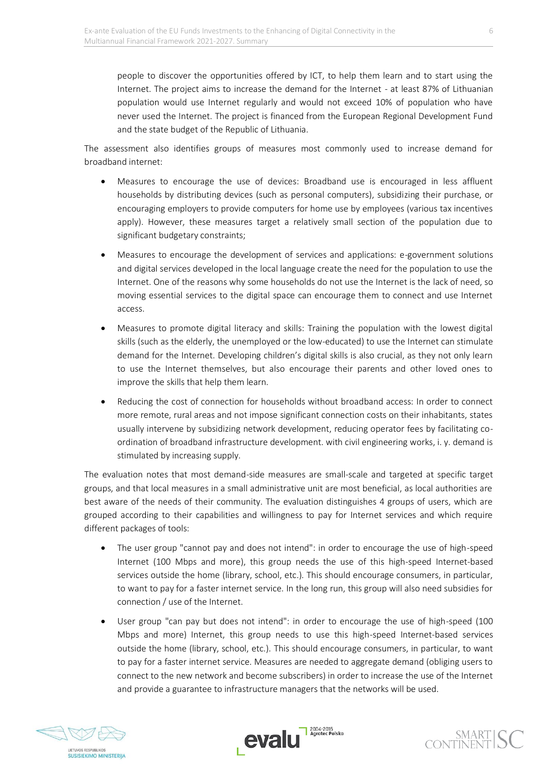people to discover the opportunities offered by ICT, to help them learn and to start using the Internet. The project aims to increase the demand for the Internet - at least 87% of Lithuanian population would use Internet regularly and would not exceed 10% of population who have never used the Internet. The project is financed from the European Regional Development Fund and the state budget of the Republic of Lithuania.

The assessment also identifies groups of measures most commonly used to increase demand for broadband internet:

- Measures to encourage the use of devices: Broadband use is encouraged in less affluent households by distributing devices (such as personal computers), subsidizing their purchase, or encouraging employers to provide computers for home use by employees (various tax incentives apply). However, these measures target a relatively small section of the population due to significant budgetary constraints;
- Measures to encourage the development of services and applications: e-government solutions and digital services developed in the local language create the need for the population to use the Internet. One of the reasons why some households do not use the Internet is the lack of need, so moving essential services to the digital space can encourage them to connect and use Internet access.
- Measures to promote digital literacy and skills: Training the population with the lowest digital skills (such as the elderly, the unemployed or the low-educated) to use the Internet can stimulate demand for the Internet. Developing children's digital skills is also crucial, as they not only learn to use the Internet themselves, but also encourage their parents and other loved ones to improve the skills that help them learn.
- Reducing the cost of connection for households without broadband access: In order to connect more remote, rural areas and not impose significant connection costs on their inhabitants, states usually intervene by subsidizing network development, reducing operator fees by facilitating coordination of broadband infrastructure development. with civil engineering works, i. y. demand is stimulated by increasing supply.

The evaluation notes that most demand-side measures are small-scale and targeted at specific target groups, and that local measures in a small administrative unit are most beneficial, as local authorities are best aware of the needs of their community. The evaluation distinguishes 4 groups of users, which are grouped according to their capabilities and willingness to pay for Internet services and which require different packages of tools:

- The user group "cannot pay and does not intend": in order to encourage the use of high-speed Internet (100 Mbps and more), this group needs the use of this high-speed Internet-based services outside the home (library, school, etc.). This should encourage consumers, in particular, to want to pay for a faster internet service. In the long run, this group will also need subsidies for connection / use of the Internet.
- User group "can pay but does not intend": in order to encourage the use of high-speed (100 Mbps and more) Internet, this group needs to use this high-speed Internet-based services outside the home (library, school, etc.). This should encourage consumers, in particular, to want to pay for a faster internet service. Measures are needed to aggregate demand (obliging users to connect to the new network and become subscribers) in order to increase the use of the Internet and provide a guarantee to infrastructure managers that the networks will be used.





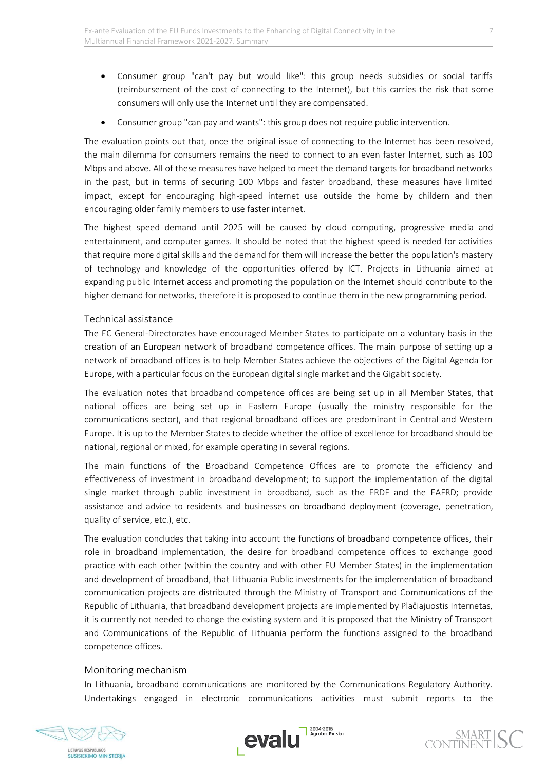- Consumer group "can't pay but would like": this group needs subsidies or social tariffs (reimbursement of the cost of connecting to the Internet), but this carries the risk that some consumers will only use the Internet until they are compensated.
- Consumer group "can pay and wants": this group does not require public intervention.

The evaluation points out that, once the original issue of connecting to the Internet has been resolved, the main dilemma for consumers remains the need to connect to an even faster Internet, such as 100 Mbps and above. All of these measures have helped to meet the demand targets for broadband networks in the past, but in terms of securing 100 Mbps and faster broadband, these measures have limited impact, except for encouraging high-speed internet use outside the home by childern and then encouraging older family members to use faster internet.

The highest speed demand until 2025 will be caused by cloud computing, progressive media and entertainment, and computer games. It should be noted that the highest speed is needed for activities that require more digital skills and the demand for them will increase the better the population's mastery of technology and knowledge of the opportunities offered by ICT. Projects in Lithuania aimed at expanding public Internet access and promoting the population on the Internet should contribute to the higher demand for networks, therefore it is proposed to continue them in the new programming period.

#### Technical assistance

The EC General-Directorates have encouraged Member States to participate on a voluntary basis in the creation of an European network of broadband competence offices. The main purpose of setting up a network of broadband offices is to help Member States achieve the objectives of the Digital Agenda for Europe, with a particular focus on the European digital single market and the Gigabit society.

The evaluation notes that broadband competence offices are being set up in all Member States, that national offices are being set up in Eastern Europe (usually the ministry responsible for the communications sector), and that regional broadband offices are predominant in Central and Western Europe. It is up to the Member States to decide whether the office of excellence for broadband should be national, regional or mixed, for example operating in several regions.

The main functions of the Broadband Competence Offices are to promote the efficiency and effectiveness of investment in broadband development; to support the implementation of the digital single market through public investment in broadband, such as the ERDF and the EAFRD; provide assistance and advice to residents and businesses on broadband deployment (coverage, penetration, quality of service, etc.), etc.

The evaluation concludes that taking into account the functions of broadband competence offices, their role in broadband implementation, the desire for broadband competence offices to exchange good practice with each other (within the country and with other EU Member States) in the implementation and development of broadband, that Lithuania Public investments for the implementation of broadband communication projects are distributed through the Ministry of Transport and Communications of the Republic of Lithuania, that broadband development projects are implemented by Plačiajuostis Internetas, it is currently not needed to change the existing system and it is proposed that the Ministry of Transport and Communications of the Republic of Lithuania perform the functions assigned to the broadband competence offices.

#### Monitoring mechanism

In Lithuania, broadband communications are monitored by the Communications Regulatory Authority. Undertakings engaged in electronic communications activities must submit reports to the



**SUSISIEKIMO MINISTERIIA** 



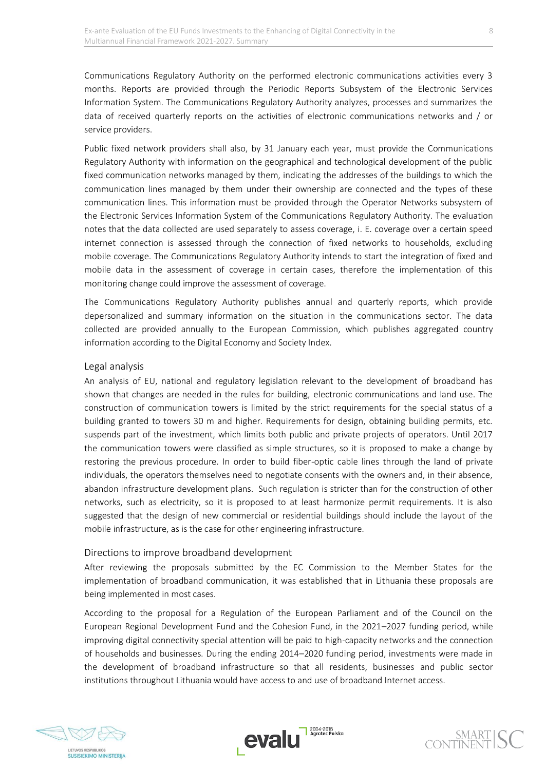Communications Regulatory Authority on the performed electronic communications activities every 3 months. Reports are provided through the Periodic Reports Subsystem of the Electronic Services Information System. The Communications Regulatory Authority analyzes, processes and summarizes the data of received quarterly reports on the activities of electronic communications networks and / or service providers.

Public fixed network providers shall also, by 31 January each year, must provide the Communications Regulatory Authority with information on the geographical and technological development of the public fixed communication networks managed by them, indicating the addresses of the buildings to which the communication lines managed by them under their ownership are connected and the types of these communication lines. This information must be provided through the Operator Networks subsystem of the Electronic Services Information System of the Communications Regulatory Authority. The evaluation notes that the data collected are used separately to assess coverage, i. E. coverage over a certain speed internet connection is assessed through the connection of fixed networks to households, excluding mobile coverage. The Communications Regulatory Authority intends to start the integration of fixed and mobile data in the assessment of coverage in certain cases, therefore the implementation of this monitoring change could improve the assessment of coverage.

The Communications Regulatory Authority publishes annual and quarterly reports, which provide depersonalized and summary information on the situation in the communications sector. The data collected are provided annually to the European Commission, which publishes aggregated country information according to the Digital Economy and Society Index.

#### Legal analysis

An analysis of EU, national and regulatory legislation relevant to the development of broadband has shown that changes are needed in the rules for building, electronic communications and land use. The construction of communication towers is limited by the strict requirements for the special status of a building granted to towers 30 m and higher. Requirements for design, obtaining building permits, etc. suspends part of the investment, which limits both public and private projects of operators. Until 2017 the communication towers were classified as simple structures, so it is proposed to make a change by restoring the previous procedure. In order to build fiber-optic cable lines through the land of private individuals, the operators themselves need to negotiate consents with the owners and, in their absence, abandon infrastructure development plans. Such regulation is stricter than for the construction of other networks, such as electricity, so it is proposed to at least harmonize permit requirements. It is also suggested that the design of new commercial or residential buildings should include the layout of the mobile infrastructure, as is the case for other engineering infrastructure.

#### Directions to improve broadband development

After reviewing the proposals submitted by the EC Commission to the Member States for the implementation of broadband communication, it was established that in Lithuania these proposals are being implemented in most cases.

According to the proposal for a Regulation of the European Parliament and of the Council on the European Regional Development Fund and the Cohesion Fund, in the 2021–2027 funding period, while improving digital connectivity special attention will be paid to high-capacity networks and the connection of households and businesses. During the ending 2014–2020 funding period, investments were made in the development of broadband infrastructure so that all residents, businesses and public sector institutions throughout Lithuania would have access to and use of broadband Internet access.



**SUSISIEKIMO MINISTERIJA** 



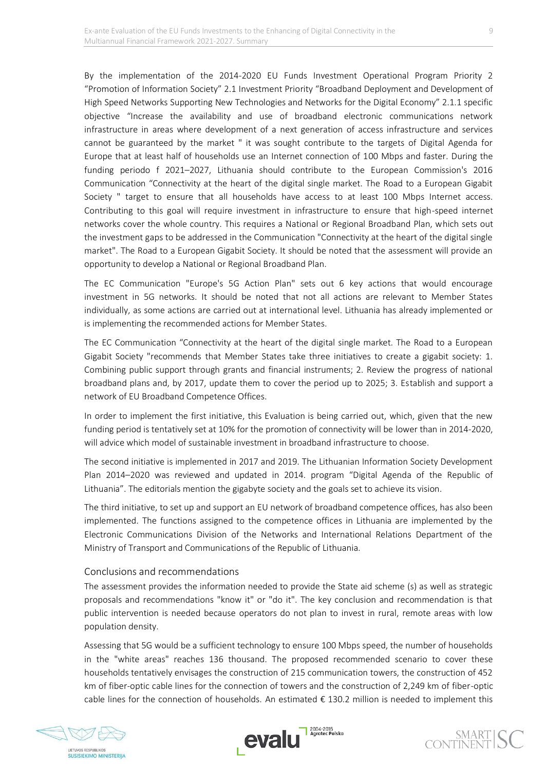By the implementation of the 2014-2020 EU Funds Investment Operational Program Priority 2 "Promotion of Information Society" 2.1 Investment Priority "Broadband Deployment and Development of High Speed Networks Supporting New Technologies and Networks for the Digital Economy" 2.1.1 specific objective "Increase the availability and use of broadband electronic communications network infrastructure in areas where development of a next generation of access infrastructure and services cannot be guaranteed by the market " it was sought contribute to the targets of Digital Agenda for Europe that at least half of households use an Internet connection of 100 Mbps and faster. During the funding periodo f 2021–2027, Lithuania should contribute to the European Commission's 2016 Communication "Connectivity at the heart of the digital single market. The Road to a European Gigabit Society " target to ensure that all households have access to at least 100 Mbps Internet access. Contributing to this goal will require investment in infrastructure to ensure that high-speed internet networks cover the whole country. This requires a National or Regional Broadband Plan, which sets out the investment gaps to be addressed in the Communication "Connectivity at the heart of the digital single market". The Road to a European Gigabit Society. It should be noted that the assessment will provide an opportunity to develop a National or Regional Broadband Plan.

The EC Communication "Europe's 5G Action Plan" sets out 6 key actions that would encourage investment in 5G networks. It should be noted that not all actions are relevant to Member States individually, as some actions are carried out at international level. Lithuania has already implemented or is implementing the recommended actions for Member States.

The EC Communication "Connectivity at the heart of the digital single market. The Road to a European Gigabit Society "recommends that Member States take three initiatives to create a gigabit society: 1. Combining public support through grants and financial instruments; 2. Review the progress of national broadband plans and, by 2017, update them to cover the period up to 2025; 3. Establish and support a network of EU Broadband Competence Offices.

In order to implement the first initiative, this Evaluation is being carried out, which, given that the new funding period is tentatively set at 10% for the promotion of connectivity will be lower than in 2014-2020, will advice which model of sustainable investment in broadband infrastructure to choose.

The second initiative is implemented in 2017 and 2019. The Lithuanian Information Society Development Plan 2014–2020 was reviewed and updated in 2014. program "Digital Agenda of the Republic of Lithuania". The editorials mention the gigabyte society and the goals set to achieve its vision.

The third initiative, to set up and support an EU network of broadband competence offices, has also been implemented. The functions assigned to the competence offices in Lithuania are implemented by the Electronic Communications Division of the Networks and International Relations Department of the Ministry of Transport and Communications of the Republic of Lithuania.

#### Conclusions and recommendations

The assessment provides the information needed to provide the State aid scheme (s) as well as strategic proposals and recommendations "know it" or "do it". The key conclusion and recommendation is that public intervention is needed because operators do not plan to invest in rural, remote areas with low population density.

Assessing that 5G would be a sufficient technology to ensure 100 Mbps speed, the number of households in the "white areas" reaches 136 thousand. The proposed recommended scenario to cover these households tentatively envisages the construction of 215 communication towers, the construction of 452 km of fiber-optic cable lines for the connection of towers and the construction of 2,249 km of fiber-optic cable lines for the connection of households. An estimated  $\epsilon$  130.2 million is needed to implement this



**SUSISIEKIMO MINISTERIIA**